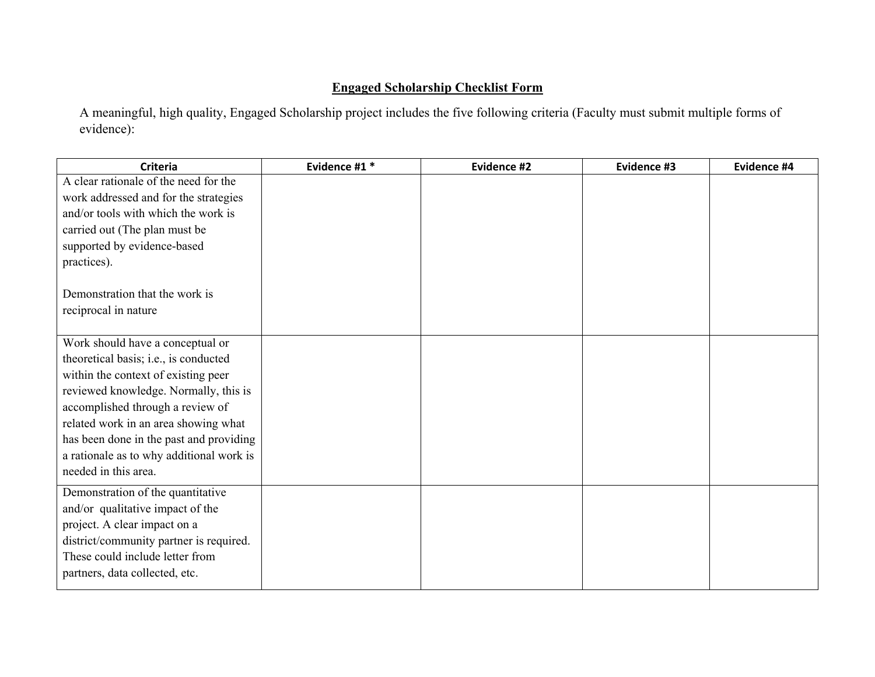## **Engaged Scholarship Checklist Form**

A meaningful, high quality, Engaged Scholarship project includes the five following criteria (Faculty must submit multiple forms of evidence):

| <b>Criteria</b>                          | Evidence #1 * | Evidence #2 | Evidence #3 | Evidence #4 |
|------------------------------------------|---------------|-------------|-------------|-------------|
| A clear rationale of the need for the    |               |             |             |             |
| work addressed and for the strategies    |               |             |             |             |
| and/or tools with which the work is      |               |             |             |             |
| carried out (The plan must be            |               |             |             |             |
| supported by evidence-based              |               |             |             |             |
| practices).                              |               |             |             |             |
|                                          |               |             |             |             |
| Demonstration that the work is           |               |             |             |             |
| reciprocal in nature                     |               |             |             |             |
|                                          |               |             |             |             |
| Work should have a conceptual or         |               |             |             |             |
| theoretical basis; i.e., is conducted    |               |             |             |             |
| within the context of existing peer      |               |             |             |             |
| reviewed knowledge. Normally, this is    |               |             |             |             |
| accomplished through a review of         |               |             |             |             |
| related work in an area showing what     |               |             |             |             |
| has been done in the past and providing  |               |             |             |             |
| a rationale as to why additional work is |               |             |             |             |
| needed in this area.                     |               |             |             |             |
| Demonstration of the quantitative        |               |             |             |             |
| and/or qualitative impact of the         |               |             |             |             |
| project. A clear impact on a             |               |             |             |             |
| district/community partner is required.  |               |             |             |             |
| These could include letter from          |               |             |             |             |
| partners, data collected, etc.           |               |             |             |             |
|                                          |               |             |             |             |